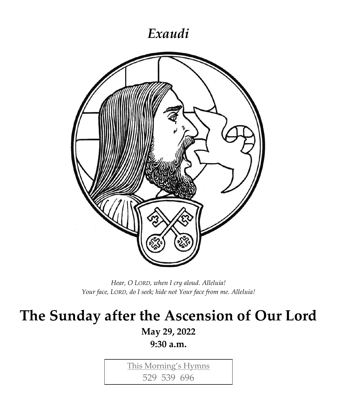## *Exaudi*



*Hear, O LORD, when I cry aloud. Alleluia! Your face, LORD, do I seek; hide not Your face from me. Alleluia!*

# **The Sunday after the Ascension of Our Lord**

**May 29, 2022**

**9:30 a.m.**

This Morning's Hymns

529 539 696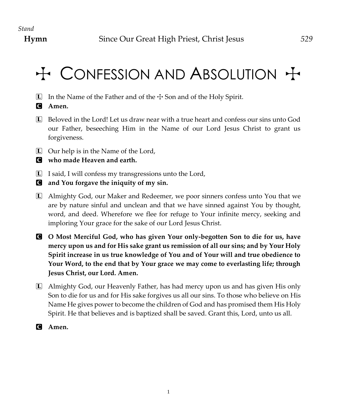# $H$  CONFESSION AND ABSOLUTION  $H$

- $\Box$  In the Name of the Father and of the  $\div$  Son and of the Holy Spirit.
- C **Amen.**
- L Beloved in the Lord! Let us draw near with a true heart and confess our sins unto God our Father, beseeching Him in the Name of our Lord Jesus Christ to grant us forgiveness.
- $\Box$  Our help is in the Name of the Lord,
- C **who made Heaven and earth.**
- $\Box$  I said, I will confess my transgressions unto the Lord,
- C **and You forgave the iniquity of my sin.**
- L Almighty God, our Maker and Redeemer, we poor sinners confess unto You that we are by nature sinful and unclean and that we have sinned against You by thought, word, and deed. Wherefore we flee for refuge to Your infinite mercy, seeking and imploring Your grace for the sake of our Lord Jesus Christ.
- C **O Most Merciful God, who has given Your only-begotten Son to die for us, have mercy upon us and for His sake grant us remission of all our sins; and by Your Holy Spirit increase in us true knowledge of You and of Your will and true obedience to Your Word, to the end that by Your grace we may come to everlasting life; through Jesus Christ, our Lord. Amen.**
- L Almighty God, our Heavenly Father, has had mercy upon us and has given His only Son to die for us and for His sake forgives us all our sins. To those who believe on His Name He gives power to become the children of God and has promised them His Holy Spirit. He that believes and is baptized shall be saved. Grant this, Lord, unto us all.
- C **Amen.**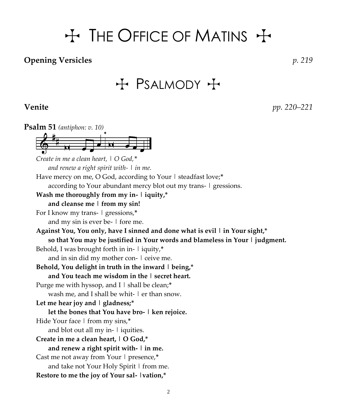# $H$  The Office of Matins  $H$

#### **Opening Versicles** *p. 219*

## $H$  PSALMODY  $H$

**Venite** *pp. 220–221*

**Psalm 51** *(antiphon: v. 10) Create in me a clean heart, | O God,\* and renew a right spirit with- | in me.* Have mercy on me, O God, according to Your | steadfast love;**\*** according to Your abundant mercy blot out my trans- | gressions. **Wash me thoroughly from my in- | iquity,\* and cleanse me | from my sin!** For I know my trans- | gressions,**\*** and my sin is ever be- | fore me. **Against You, You only, have I sinned and done what is evil | in Your sight,\* so that You may be justified in Your words and blameless in Your | judgment.** Behold, I was brought forth in in- | iquity,**\*** and in sin did my mother con- | ceive me. **Behold, You delight in truth in the inward | being,\* and You teach me wisdom in the | secret heart.** Purge me with hyssop, and I | shall be clean;\* wash me, and I shall be whit- | er than snow. **Let me hear joy and | gladness;\* let the bones that You have bro- | ken rejoice.** Hide Your face | from my sins,**\*** and blot out all my in-  $\vert$  iquities. **Create in me a clean heart, | O God,\* and renew a right spirit with- | in me.** Cast me not away from Your | presence,**\*** and take not Your Holy Spirit | from me. **Restore to me the joy of Your sal- |vation,\***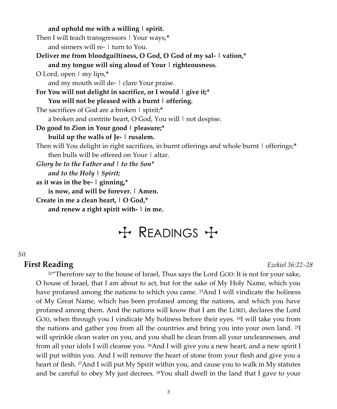**and uphold me with a willing | spirit.** Then I will teach transgressors | Your ways,**\*** and sinners will re- | turn to You. **Deliver me from bloodguiltiness, O God, O God of my sal- | vation,\* and my tongue will sing aloud of Your | righteousness.** O Lord, open | my lips,**\*** and my mouth will de- | clare Your praise. **For You will not delight in sacrifice, or I would | give it;\* You will not be pleased with a burnt | offering.** The sacrifices of God are a broken | spirit;**\*** a broken and contrite heart,  $O$  God, You will  $\perp$  not despise. **Do good to Zion in Your good | pleasure;\* build up the walls of Je- | rusalem.** Then will You delight in right sacrifices, in burnt offerings and whole burnt | offerings;**\*** then bulls will be offered on Your | altar. *Glory be to the Father and | to the Son\* and to the Holy | Spirit;* **as it was in the be- | ginning,\* is now, and will be forever. | Amen. Create in me a clean heart, | O God,\* and renew a right spirit with- | in me.**

# $H$  READINGS  $H$

#### *Sit*

#### **First Reading** *Ezekiel 36:22–28*

 $22^{\prime\prime}$ Therefore say to the house of Israel, Thus says the Lord GOD: It is not for your sake, O house of Israel, that I am about to act, but for the sake of My Holy Name, which you have profaned among the nations to which you came. <sup>23</sup>And I will vindicate the holiness of My Great Name, which has been profaned among the nations, and which you have profaned among them. And the nations will know that I am the LORD, declares the Lord GOD, when through you I vindicate My holiness before their eyes.  $^{24}I$  will take you from the nations and gather you from all the countries and bring you into your own land. 25I will sprinkle clean water on you, and you shall be clean from all your uncleannesses, and from all your idols I will cleanse you. 26And I will give you a new heart, and a new spirit I will put within you. And I will remove the heart of stone from your flesh and give you a heart of flesh. 27And I will put My Spirit within you, and cause you to walk in My statutes and be careful to obey My just decrees.  $^{28}$ You shall dwell in the land that I gave to your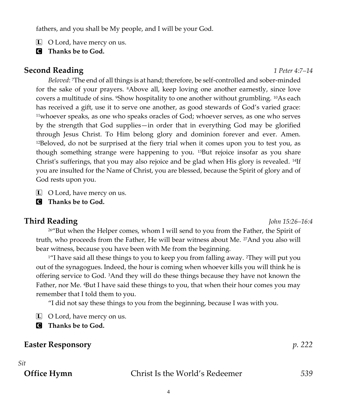fathers, and you shall be My people, and I will be your God.

- $\Box$  O Lord, have mercy on us.
- C **Thanks be to God.**

#### **Second Reading** *1 Peter 4:7–14*

*Beloved*: 7The end of all things is at hand; therefore, be self-controlled and sober-minded for the sake of your prayers. 8Above all, keep loving one another earnestly, since love covers a multitude of sins. *'Show hospitality to one another without grumbling*. <sup>10</sup>As each has received a gift, use it to serve one another, as good stewards of God's varied grace: <sup>11</sup>whoever speaks, as one who speaks oracles of God; whoever serves, as one who serves by the strength that God supplies—in order that in everything God may be glorified through Jesus Christ. To Him belong glory and dominion forever and ever. Amen.  $12$ Beloved, do not be surprised at the fiery trial when it comes upon you to test you, as though something strange were happening to you. 13But rejoice insofar as you share Christ's sufferings, that you may also rejoice and be glad when His glory is revealed. 14If you are insulted for the Name of Christ, you are blessed, because the Spirit of glory and of God rests upon you.

 $\Box$  O Lord, have mercy on us.

C **Thanks be to God.**

#### **Third Reading** *John 15:26–16:4*

<sup>26</sup>"But when the Helper comes, whom I will send to you from the Father, the Spirit of truth, who proceeds from the Father, He will bear witness about Me. <sup>27</sup>And you also will bear witness, because you have been with Me from the beginning.

<sup>1</sup> I have said all these things to you to keep you from falling away. <sup>2</sup>They will put you out of the synagogues. Indeed, the hour is coming when whoever kills you will think he is offering service to God. 3And they will do these things because they have not known the Father, nor Me. 4But I have said these things to you, that when their hour comes you may remember that I told them to you.

"I did not say these things to you from the beginning, because I was with you.

L O Lord, have mercy on us.

C **Thanks be to God.**

#### **Easter Responsory** *p. 222*

#### *Sit*

**Office Hymn** Christ Is the World's Redeemer *539*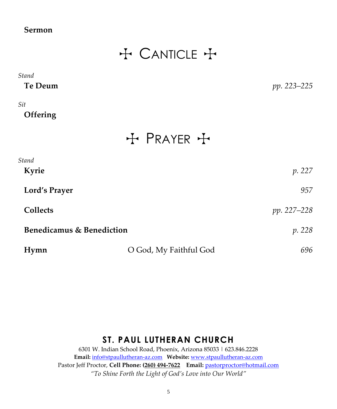#### **Sermon**

## + CANTICLE +

| Stand    |             |
|----------|-------------|
| Te Deum  | pp. 223–225 |
| Sit      |             |
| Offering |             |

+ PRAYER +

| Stand                     |                        |             |
|---------------------------|------------------------|-------------|
| Kyrie                     |                        | p. 227      |
| Lord's Prayer             |                        | 957         |
| <b>Collects</b>           |                        | pp. 227–228 |
| Benedicamus & Benediction |                        | p. 228      |
| Hymn                      | O God, My Faithful God | 696         |

#### **ST. PAUL LUTHERAN CHURCH**

6301 W. Indian School Road, Phoenix, Arizona 85033 | 623.846.2228 **Email:** [info@stpaullutheran-az.com](mailto:info@stpaullutheran-az.com) **Website:** [www.stpaullutheran-az.com](http://www.stpaullutheran-az.com/) Pastor Jeff Proctor, **Cell Phone: (260) 494-7622 Email:** [pastorproctor@hotmail.com](mailto:pastorproctor@hotmail.com) *"To Shine Forth the Light of God's Love into Our World"*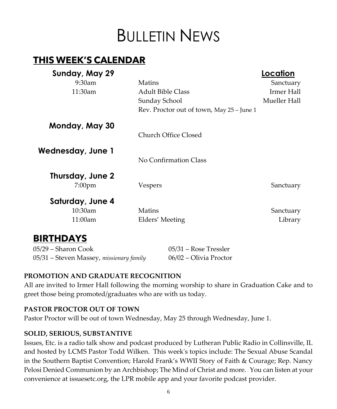# **BULLETIN NEWS**

### **THIS WEEK'S CALENDAR**

| Sunday, May 29    |                                           | Location     |
|-------------------|-------------------------------------------|--------------|
| $9:30$ am         | Matins                                    | Sanctuary    |
| 11:30am           | Adult Bible Class                         | Irmer Hall   |
|                   | Sunday School                             | Mueller Hall |
|                   | Rev. Proctor out of town, May 25 - June 1 |              |
| Monday, May 30    |                                           |              |
|                   | Church Office Closed                      |              |
| Wednesday, June 1 |                                           |              |
|                   | No Confirmation Class                     |              |
| Thursday, June 2  |                                           |              |
| $7:00$ pm         | Vespers                                   | Sanctuary    |
| Saturday, June 4  |                                           |              |
| 10:30am           | Matins                                    | Sanctuary    |
| 11:00am           | Elders' Meeting                           | Library      |
|                   |                                           |              |

#### **BIRTHDAYS**

05/29 – Sharon Cook 05/31 – Rose Tressler 05/31 – Steven Massey, *missionary family* 06/02 – Olivia Proctor

#### **PROMOTION AND GRADUATE RECOGNITION**

All are invited to Irmer Hall following the morning worship to share in Graduation Cake and to greet those being promoted/graduates who are with us today.

#### **PASTOR PROCTOR OUT OF TOWN**

Pastor Proctor will be out of town Wednesday, May 25 through Wednesday, June 1.

#### **SOLID, SERIOUS, SUBSTANTIVE**

Issues, Etc. is a radio talk show and podcast produced by Lutheran Public Radio in Collinsville, IL and hosted by LCMS Pastor Todd Wilken. This week's topics include: The Sexual Abuse Scandal in the Southern Baptist Convention; Harold Frank's WWII Story of Faith & Courage; Rep. Nancy Pelosi Denied Communion by an Archbishop; The Mind of Christ and more. You can listen at your convenience at [issuesetc.org,](https://r20.rs6.net/tn.jsp?f=001kvpVhej7xsM_KGiKedeYJr5GkPeD376IPqjpr81ql9ibsQXo2gUjBzNcvVusK4MVA96KlR5XxTesLfoKC-pbJf0LCZZe6kcJoiT4JBf1h9Z9sHjCIS7poh5XqB8SPc87FogbPVi2hTXHh8F1h3hF5g==&c=a5vwDOYLgszz_V3SqdQWftfCLgwmB_6g9OvFbquZ2FAx7ygJlZR7CQ==&ch=0RTBdMJFJ2ArjZ8GQesxaYBIX_b7OaidQsP-Qh2kZ0oDytyBPL_D1A==) the LPR mobile app and your favorite podcast provider.